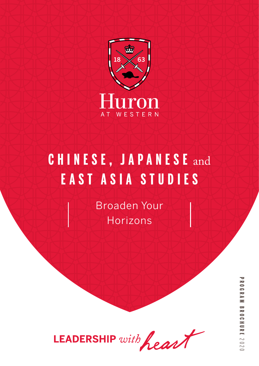

# **CHINESE, JAPANESE** and **EAST ASIA STUDIES**

Broaden Your Horizons

LEADERSHIP with heart

**PROGRAM BROCHUREPROGRAM BROCHDING**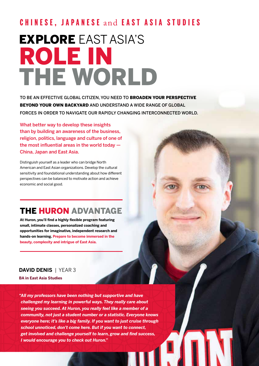## **CHINESE, JAPANESE** and **EAST ASIA STUDIES**

# EXPLORE EAST ASIA'S ROLE IN THE WORLD

TO BE AN EFFECTIVE GLOBAL CITIZEN, YOU NEED TO BROADEN YOUR PERSPECTIVE BEYOND YOUR OWN BACKYARD AND UNDERSTAND A WIDE RANGE OF GLOBAL FORCES IN ORDER TO NAVIGATE OUR RAPIDLY CHANGING INTERCONNECTED WORLD.

What better way to develop these insights than by building an awareness of the business, religion, politics, language and culture of one of the most influential areas in the world today — China, Japan and East Asia.

Distinguish yourself as a leader who can bridge North American and East Asian organizations. Develop the cultural sensitivity and foundational understanding about how different perspectives can be balanced to motivate action and achieve economic and social good.

## THE HURON ADVANTAGE

**At Huron, you'll find a highly flexible program featuring small, intimate classes, personalized coaching and opportunities for imaginative, independent research and hands-on learning. Prepare to become immersed in the beauty, complexity and intrigue of East Asia.**

#### **DAVID DENIS** | YEAR 3

**BA in East Asia Studies** 

*"All my professors have been nothing but supportive and have challenged my learning in powerful ways. They really care about seeing you succeed. At Huron, you really feel like a member of a community, not just a student number or a statistic. Everyone knows everyone here; it's like a big family. If you want to just cruise through school unnoticed, don't come here. But if you want to connect, get involved and challenge yourself to learn, grow and find success, I would encourage you to check out Huron."*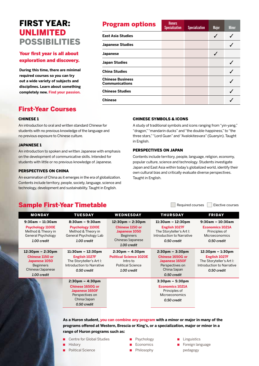## FIRST YEAR: UNLIMITED POSSIBILITIES

#### Your first year is all about exploration and discovery.

**During this time, there are minimal required courses so you can try out a wide variety of subjects and disciplines. Learn about something completely new. Find your passion.**

| <b>Program options</b>                    | <b>Honors</b><br><b>Specialization</b> | <b>Specialization</b> | <b>Major</b> | <b>Minor</b> |
|-------------------------------------------|----------------------------------------|-----------------------|--------------|--------------|
| <b>East Asia Studies</b>                  |                                        |                       |              |              |
| <b>Japanese Studies</b>                   |                                        |                       |              |              |
| <b>Japanese</b>                           |                                        |                       |              |              |
| <b>Japan Studies</b>                      |                                        |                       |              |              |
| <b>China Studies</b>                      |                                        |                       |              |              |
| <b>Chinese Business</b><br>Communications |                                        |                       |              |              |
| <b>Chinese Studies</b>                    |                                        |                       |              |              |
| Chinese                                   |                                        |                       |              |              |

#### First-Year Courses

#### CHINESE 1

An introduction to oral and written standard Chinese for students with no previous knowledge of the language and no previous exposure to Chinese culture.

#### JAPANESE 1

An introduction to spoken and written Japanese with emphasis on the development of communicative skills. Intended for students with little or no previous knowledge of Japanese.

#### PERSPECTIVES ON CHINA

An examination of China as it emerges in the era of globalization. Contents include territory, people, society, language, science and technology, development and sustainability. Taught in English.

#### CHINESE SYMBOLS & ICONS

A study of traditional symbols and icons ranging from "yin-yang," "dragon," "mandarin ducks" and "the double-happiness," to "the three stars," "Lord Guan" and "Avalokitesvara" (Guanyin). Taught in English.

#### PERSPECTIVES ON JAPAN

Contents include territory, people, language, religion, economy, popular culture, science and technology. Students investigate Japan and East Asia within today's globalized world, identify their own cultural bias and critically evaluate diverse perspectives. Taught in English.

#### Sample First-Year Timetable **Sample First-Year Timetable**

| <b>MONDAY</b>                                                                                                      | <b>TUESDAY</b>                                                                                                           | <b>WEDNESDAY</b>                                                                                                              | <b>THURSDAY</b>                                                                                                          | <b>FRIDAY</b>                                                                                                               |
|--------------------------------------------------------------------------------------------------------------------|--------------------------------------------------------------------------------------------------------------------------|-------------------------------------------------------------------------------------------------------------------------------|--------------------------------------------------------------------------------------------------------------------------|-----------------------------------------------------------------------------------------------------------------------------|
| $9:30$ am - 11:30am<br><b>Psychology 1100E</b><br>Method & Theory in<br>General Psychology<br>1.00 credit          | $8:30am - 9:30am$<br><b>Psychology 1100E</b><br>Method & Theory in<br>General Psychology Lab<br>1.00 credit              | $12:30 \text{pm} - 2:30 \text{pm}$<br>Chinese 1150 or<br>Japanese 1050<br><b>Beginners</b><br>Chinese/Japanese<br>1.00 credit | $11:30am - 12:30pm$<br>English 1027F<br>The Storyteller's Art I:<br>Introduction to Narrative<br>0.50 credit             | $9:30$ am - 10:30am<br><b>Economics 1021A</b><br>Principles of<br><b>Microeconomics</b><br>0.50 credit                      |
| 12:30pm – 2:30pm<br><b>Chinese 1150 or</b><br>Japanese 1050<br><b>Beginners</b><br>Chinese/Japanese<br>1.00 credit | $11:30am - 12:30pm$<br>English 1027F<br>The Storyteller's Art I:<br>Introduction to Narrative<br>0.50 credit             | $2:30 \text{pm} - 4:30 \text{pm}$<br><b>Political Science 1020E</b><br>Intro to<br><b>Political Science</b><br>1.00 credit    | $2:30 \text{pm} - 3:30 \text{pm}$<br>Chinese 1650G or<br>Japanese 1650F<br>Perspectives on<br>China/Japan<br>0.50 credit | $12:30 \text{pm} - 1:30 \text{pm}$<br>English 1027F<br>The Storyteller's Art I:<br>Introduction to Narrative<br>0.50 credit |
|                                                                                                                    | $2:30 \text{pm} - 4:30 \text{pm}$<br>Chinese 1650G or<br>Japanese 1650F<br>Perspectives on<br>China/Japan<br>0.50 credit |                                                                                                                               | $3:30 \text{pm} - 5:30 \text{pm}$<br><b>Economics 1021A</b><br>Principles of<br><b>Microeconomics</b><br>0.50 credit     |                                                                                                                             |

**As a Huron student, you can combine any program with a minor or major in many of the programs offered at Western, Brescia or King's, or a specialization, major or minor in a range of Huron programs such as:**

- Centre for Global Studies
- History
- Political Science
- Psychology
- Economics
	- **Philosophy**
- Linguistics
- Foreign language pedagogy
-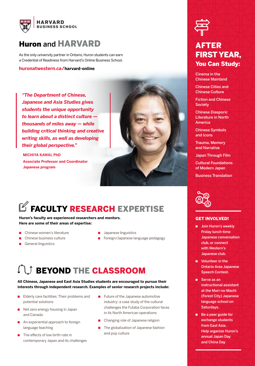

## Huron and HARVARD

As the only university partner in Ontario, Huron students can earn a Credential of Readiness from Harvard's Online Business School.

**huronatwestern.ca/harvard-online**

*"The Department of Chinese, Japanese and Asia Studies gives students the unique opportunity to learn about a distinct culture thousands of miles away — while building critical thinking and creative writing skills, as well as developing their global perspective."*

**MICHIYA KAWAI, PhD Associate Professor and Coordinator Japanese program**



## $\mathbb Z$  FACULTY RESEARCH EXPERTISE

#### **Huron's faculty are experienced researchers and mentors. Here are some of their areas of expertise:**

- Chinese women's literature
- Chinese business culture
- General linguistics
- Japanese linguistics
- Foreign/Japanese language pedagogy

## **SEYOND THE CLASSROOM**

#### **All Chinese, Japanese and East Asia Studies students are encouraged to pursue their interests through independent research. Examples of senior research projects include:**

- Elderly care facilities: Their problems and potential solutions
- Net zero energy housing in Japan and Canada
- An experiential approach to foreign language teaching
- The effects of low birth-rate in contemporary Japan and its challenges
- Future of the Japanese automotive industry: a case study of the cultural challenges the Futaba Corporation faces in its North American operations
- Changing role of Japanese religion
- The globalization of Japanese fashion and pop culture



### AFTER FIRST YEAR, You Can Study:

Cinema in the Chinese Mainland

Chinese Cities and Chinese Culture

Fiction and Chinese **Society** 

Chinese Diasporic Literature in North America

Chinese Symbols and Icons

Trauma, Memory and Narrative

Japan Through Film

Cultural Foundations of Modern Japan

Business Translation



#### **GET INVOLVED!**

- Join Huron's weekly Friday lunch-time Japanese conversation club, or connect with Western's Japanese club.
- Volunteer in the Ontario Area Japanese Speech Contest.
- Serve as an instructional assistant at the Mori-no-Machi (Forest City) Japanese language school on Saturdays.
- Be a peer guide for exchange students from East Asia. Help organize Huron's annual Japan Day and China Day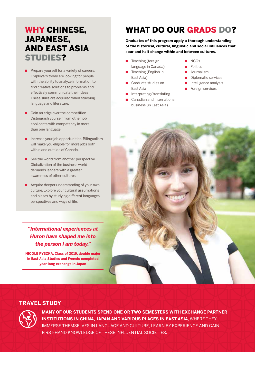## WHY CHINESE, JAPANESE, AND EAST ASIA STUDIES?

- Prepare yourself for a variety of careers. Employers today are looking for people with the ability to analyze information to find creative solutions to problems and effectively communicate their ideas. These skills are acquired when studying language and literature.
- Gain an edge over the competition. Distinguish yourself from other job applicants with competency in more than one language.
- Increase your job opportunities. Bilingualism will make you eligible for more jobs both within and outside of Canada.
- See the world from another perspective. Globalization of the business world demands leaders with a greater awareness of other cultures.
- Acquire deeper understanding of your own culture. Explore your cultural assumptions and biases by studying different languages, perspectives and ways of life.

#### *"International experiences at Huron have shaped me into the person I am today."*

**NICOLE PYSZKA, Class of 2019, double major in East Asia Studies and French; completed year-long exchange in Japan**

## WHAT DO OUR GRADS DO?

**Graduates of this program apply a thorough understanding of the historical, cultural, linguistic and social influences that spur and halt change within and between cultures.** 

- Teaching (foreign language in Canada)
- Teaching (English in East Asia)
- Graduate studies on East Asia
- Interpreting/translating
- Canadian and International business (in East Asia)
- NGO<sub>S</sub>
- Politics
- Journalism
- Diplomatic services
- Intelligence analysis
- Foreign services



#### **TRAVEL STUDY**



**MANY OF OUR STUDENTS SPEND ONE OR TWO SEMESTERS WITH EXCHANGE PARTNER INSTITUTIONS IN CHINA, JAPAN AND VARIOUS PLACES IN EAST ASIA**, WHERE THEY IMMERSE THEMSELVES IN LANGUAGE AND CULTURE, LEARN BY EXPERIENCE AND GAIN FIRST-HAND KNOWLEDGE OF THESE INFLUENTIAL SOCIETIES**.**